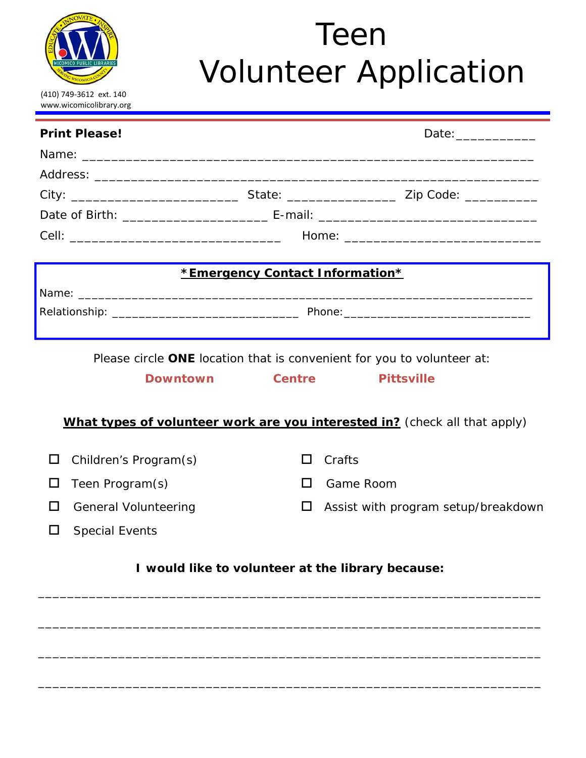

# Volunteer Application Teen

|                                                                            | <b>Print Please!</b>        |                                 | Date: _______________               |  |
|----------------------------------------------------------------------------|-----------------------------|---------------------------------|-------------------------------------|--|
|                                                                            |                             |                                 |                                     |  |
|                                                                            |                             |                                 |                                     |  |
|                                                                            |                             |                                 |                                     |  |
|                                                                            |                             |                                 |                                     |  |
|                                                                            |                             |                                 |                                     |  |
|                                                                            |                             | *Emergency Contact Information* |                                     |  |
|                                                                            |                             |                                 |                                     |  |
|                                                                            |                             |                                 |                                     |  |
| Please circle ONE location that is convenient for you to volunteer at:     |                             |                                 |                                     |  |
|                                                                            | <b>Downtown</b>             | <b>Centre</b>                   | <b>Pittsville</b>                   |  |
| What types of volunteer work are you interested in? (check all that apply) |                             |                                 |                                     |  |
|                                                                            |                             |                                 |                                     |  |
| Ш                                                                          | Children's Program(s)       | $\mathsf{L}$                    | Crafts                              |  |
| $\mathbf{L}$                                                               | Teen Program(s)             | $\mathsf{L}$                    | Game Room                           |  |
|                                                                            | <b>General Volunteering</b> |                                 | Assist with program setup/breakdown |  |
|                                                                            | <b>Special Events</b>       |                                 |                                     |  |
| I would like to volunteer at the library because:                          |                             |                                 |                                     |  |
|                                                                            |                             |                                 |                                     |  |
|                                                                            |                             |                                 |                                     |  |
|                                                                            |                             |                                 |                                     |  |
|                                                                            |                             |                                 |                                     |  |

\_\_\_\_\_\_\_\_\_\_\_\_\_\_\_\_\_\_\_\_\_\_\_\_\_\_\_\_\_\_\_\_\_\_\_\_\_\_\_\_\_\_\_\_\_\_\_\_\_\_\_\_\_\_\_\_\_\_\_\_\_\_\_\_\_\_\_\_\_